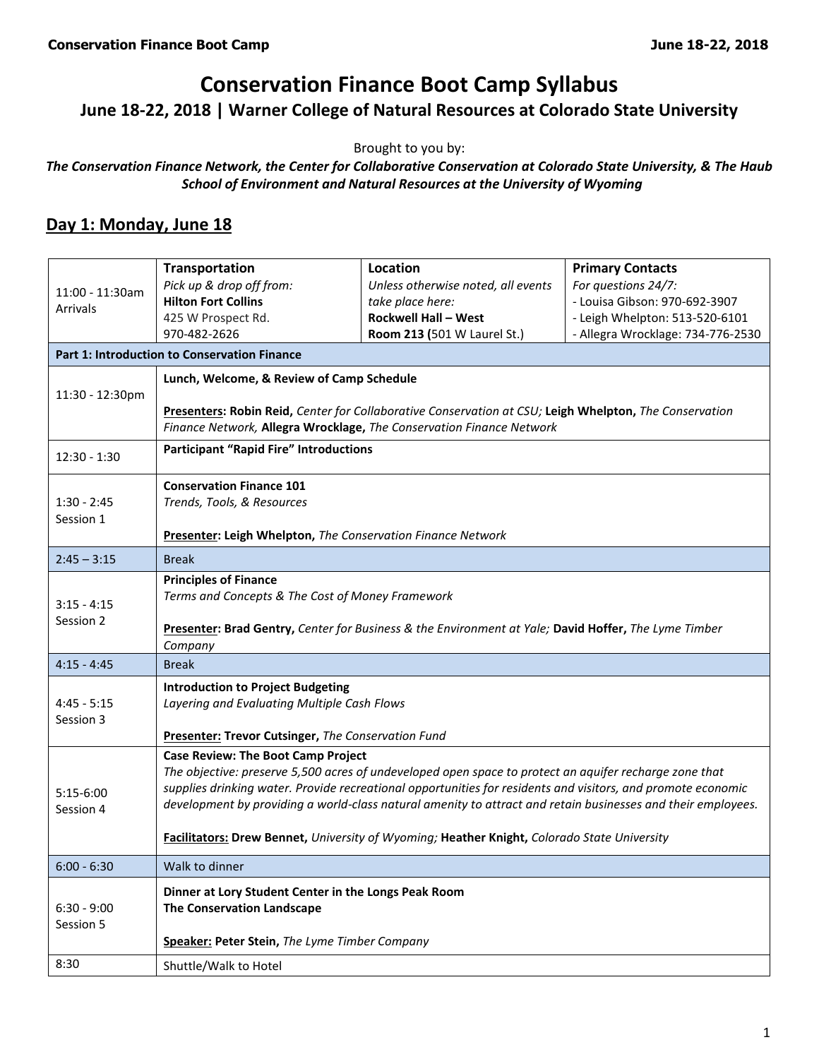# **Conservation Finance Boot Camp Syllabus**

**June 18-22, 2018 | Warner College of Natural Resources at Colorado State University**

Brought to you by:

*The Conservation Finance Network, the Center for Collaborative Conservation at Colorado State University, & The Haub School of Environment and Natural Resources at the University of Wyoming*

#### **Day 1: Monday, June 18**

|                                                     | Transportation                                                                                               | <b>Location</b>                    | <b>Primary Contacts</b>           |  |  |
|-----------------------------------------------------|--------------------------------------------------------------------------------------------------------------|------------------------------------|-----------------------------------|--|--|
| 11:00 - 11:30am<br><b>Arrivals</b>                  | Pick up & drop off from:                                                                                     | Unless otherwise noted, all events | For questions 24/7:               |  |  |
|                                                     | <b>Hilton Fort Collins</b>                                                                                   | take place here:                   | - Louisa Gibson: 970-692-3907     |  |  |
|                                                     | 425 W Prospect Rd.                                                                                           | <b>Rockwell Hall - West</b>        | - Leigh Whelpton: 513-520-6101    |  |  |
|                                                     | 970-482-2626                                                                                                 | Room 213 (501 W Laurel St.)        | - Allegra Wrocklage: 734-776-2530 |  |  |
| <b>Part 1: Introduction to Conservation Finance</b> |                                                                                                              |                                    |                                   |  |  |
|                                                     | Lunch, Welcome, & Review of Camp Schedule                                                                    |                                    |                                   |  |  |
| 11:30 - 12:30pm                                     |                                                                                                              |                                    |                                   |  |  |
|                                                     | Presenters: Robin Reid, Center for Collaborative Conservation at CSU; Leigh Whelpton, The Conservation       |                                    |                                   |  |  |
|                                                     | Finance Network, Allegra Wrocklage, The Conservation Finance Network                                         |                                    |                                   |  |  |
| $12:30 - 1:30$                                      | <b>Participant "Rapid Fire" Introductions</b>                                                                |                                    |                                   |  |  |
|                                                     | <b>Conservation Finance 101</b>                                                                              |                                    |                                   |  |  |
| $1:30 - 2:45$                                       | Trends, Tools, & Resources                                                                                   |                                    |                                   |  |  |
| Session 1                                           | Presenter: Leigh Whelpton, The Conservation Finance Network                                                  |                                    |                                   |  |  |
| $2:45 - 3:15$                                       | <b>Break</b>                                                                                                 |                                    |                                   |  |  |
|                                                     | <b>Principles of Finance</b>                                                                                 |                                    |                                   |  |  |
| $3:15 - 4:15$                                       | Terms and Concepts & The Cost of Money Framework                                                             |                                    |                                   |  |  |
| Session 2                                           |                                                                                                              |                                    |                                   |  |  |
|                                                     | Presenter: Brad Gentry, Center for Business & the Environment at Yale; David Hoffer, The Lyme Timber         |                                    |                                   |  |  |
| $4:15 - 4:45$                                       | Company<br><b>Break</b>                                                                                      |                                    |                                   |  |  |
|                                                     |                                                                                                              |                                    |                                   |  |  |
|                                                     | <b>Introduction to Project Budgeting</b>                                                                     |                                    |                                   |  |  |
| $4:45 - 5:15$<br>Session 3                          | Layering and Evaluating Multiple Cash Flows                                                                  |                                    |                                   |  |  |
|                                                     | <b>Presenter: Trevor Cutsinger, The Conservation Fund</b>                                                    |                                    |                                   |  |  |
|                                                     | <b>Case Review: The Boot Camp Project</b>                                                                    |                                    |                                   |  |  |
|                                                     | The objective: preserve 5,500 acres of undeveloped open space to protect an aquifer recharge zone that       |                                    |                                   |  |  |
| $5:15-6:00$                                         | supplies drinking water. Provide recreational opportunities for residents and visitors, and promote economic |                                    |                                   |  |  |
| Session 4                                           | development by providing a world-class natural amenity to attract and retain businesses and their employees. |                                    |                                   |  |  |
|                                                     | Facilitators: Drew Bennet, University of Wyoming; Heather Knight, Colorado State University                  |                                    |                                   |  |  |
| $6:00 - 6:30$                                       | Walk to dinner                                                                                               |                                    |                                   |  |  |
|                                                     | Dinner at Lory Student Center in the Longs Peak Room                                                         |                                    |                                   |  |  |
| $6:30 - 9:00$                                       | <b>The Conservation Landscape</b>                                                                            |                                    |                                   |  |  |
| Session 5                                           |                                                                                                              |                                    |                                   |  |  |
|                                                     | Speaker: Peter Stein, The Lyme Timber Company                                                                |                                    |                                   |  |  |
| 8:30                                                | Shuttle/Walk to Hotel                                                                                        |                                    |                                   |  |  |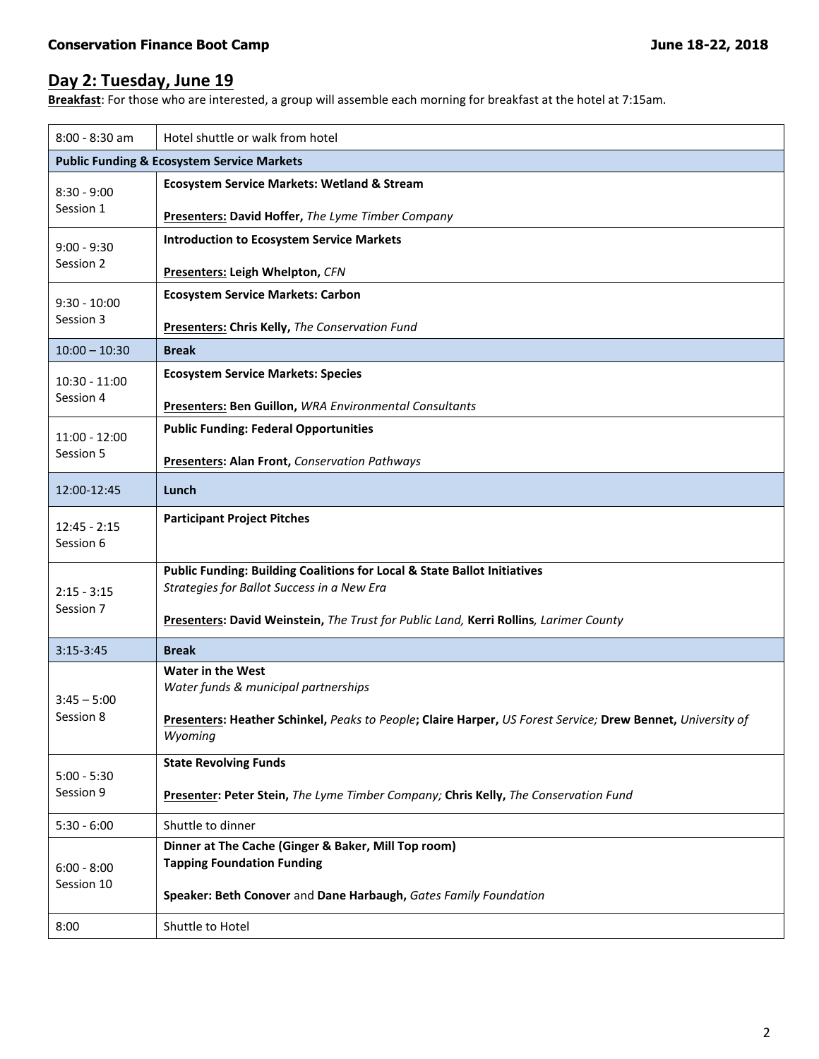## **Day 2: Tuesday, June 19**

**Breakfast**: For those who are interested, a group will assemble each morning for breakfast at the hotel at 7:15am.

| $8:00 - 8:30$ am             | Hotel shuttle or walk from hotel                                                                                       |  |  |
|------------------------------|------------------------------------------------------------------------------------------------------------------------|--|--|
|                              | <b>Public Funding &amp; Ecosystem Service Markets</b>                                                                  |  |  |
| $8:30 - 9:00$<br>Session 1   | <b>Ecosystem Service Markets: Wetland &amp; Stream</b>                                                                 |  |  |
|                              | Presenters: David Hoffer, The Lyme Timber Company                                                                      |  |  |
| $9:00 - 9:30$<br>Session 2   | <b>Introduction to Ecosystem Service Markets</b>                                                                       |  |  |
|                              | Presenters: Leigh Whelpton, CFN                                                                                        |  |  |
| $9:30 - 10:00$<br>Session 3  | <b>Ecosystem Service Markets: Carbon</b>                                                                               |  |  |
|                              | Presenters: Chris Kelly, The Conservation Fund                                                                         |  |  |
| $10:00 - 10:30$              | <b>Break</b>                                                                                                           |  |  |
| $10:30 - 11:00$<br>Session 4 | <b>Ecosystem Service Markets: Species</b>                                                                              |  |  |
|                              | Presenters: Ben Guillon, WRA Environmental Consultants                                                                 |  |  |
| $11:00 - 12:00$<br>Session 5 | <b>Public Funding: Federal Opportunities</b>                                                                           |  |  |
|                              | <b>Presenters: Alan Front, Conservation Pathways</b>                                                                   |  |  |
| 12:00-12:45                  | Lunch                                                                                                                  |  |  |
| $12:45 - 2:15$               | <b>Participant Project Pitches</b>                                                                                     |  |  |
| Session 6                    |                                                                                                                        |  |  |
|                              | Public Funding: Building Coalitions for Local & State Ballot Initiatives<br>Strategies for Ballot Success in a New Era |  |  |
| $2:15 - 3:15$<br>Session 7   |                                                                                                                        |  |  |
|                              | Presenters: David Weinstein, The Trust for Public Land, Kerri Rollins, Larimer County                                  |  |  |
| $3:15-3:45$                  | <b>Break</b>                                                                                                           |  |  |
|                              | <b>Water in the West</b><br>Water funds & municipal partnerships                                                       |  |  |
| $3:45 - 5:00$<br>Session 8   |                                                                                                                        |  |  |
|                              | Presenters: Heather Schinkel, Peaks to People; Claire Harper, US Forest Service; Drew Bennet, University of<br>Wyoming |  |  |
| $5:00 - 5:30$<br>Session 9   | <b>State Revolving Funds</b>                                                                                           |  |  |
|                              | Presenter: Peter Stein, The Lyme Timber Company; Chris Kelly, The Conservation Fund                                    |  |  |
| $5:30 - 6:00$                | Shuttle to dinner                                                                                                      |  |  |
| $6:00 - 8:00$<br>Session 10  | Dinner at The Cache (Ginger & Baker, Mill Top room)<br><b>Tapping Foundation Funding</b>                               |  |  |
|                              |                                                                                                                        |  |  |
|                              | Speaker: Beth Conover and Dane Harbaugh, Gates Family Foundation                                                       |  |  |
| 8:00                         | Shuttle to Hotel                                                                                                       |  |  |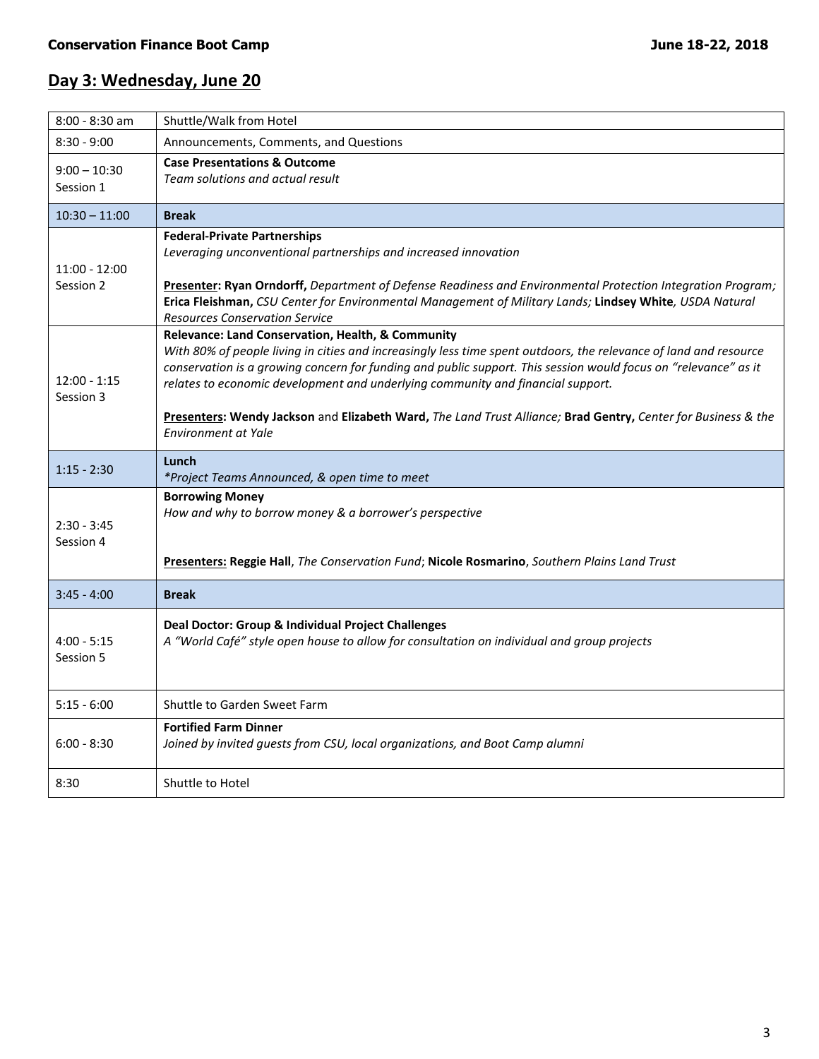### **Day 3: Wednesday, June 20**

| Shuttle/Walk from Hotel                                                                                           |  |  |
|-------------------------------------------------------------------------------------------------------------------|--|--|
| Announcements, Comments, and Questions                                                                            |  |  |
| <b>Case Presentations &amp; Outcome</b>                                                                           |  |  |
| Team solutions and actual result                                                                                  |  |  |
| <b>Break</b>                                                                                                      |  |  |
| <b>Federal-Private Partnerships</b>                                                                               |  |  |
| Leveraging unconventional partnerships and increased innovation                                                   |  |  |
| Presenter: Ryan Orndorff, Department of Defense Readiness and Environmental Protection Integration Program;       |  |  |
| Erica Fleishman, CSU Center for Environmental Management of Military Lands; Lindsey White, USDA Natural           |  |  |
| <b>Resources Conservation Service</b><br>Relevance: Land Conservation, Health, & Community                        |  |  |
| With 80% of people living in cities and increasingly less time spent outdoors, the relevance of land and resource |  |  |
| conservation is a growing concern for funding and public support. This session would focus on "relevance" as it   |  |  |
| relates to economic development and underlying community and financial support.                                   |  |  |
| Presenters: Wendy Jackson and Elizabeth Ward, The Land Trust Alliance; Brad Gentry, Center for Business & the     |  |  |
| Environment at Yale                                                                                               |  |  |
| Lunch                                                                                                             |  |  |
| *Project Teams Announced, & open time to meet                                                                     |  |  |
| <b>Borrowing Money</b><br>How and why to borrow money & a borrower's perspective                                  |  |  |
|                                                                                                                   |  |  |
|                                                                                                                   |  |  |
| Presenters: Reggie Hall, The Conservation Fund; Nicole Rosmarino, Southern Plains Land Trust                      |  |  |
| <b>Break</b>                                                                                                      |  |  |
| Deal Doctor: Group & Individual Project Challenges                                                                |  |  |
| A "World Café" style open house to allow for consultation on individual and group projects                        |  |  |
|                                                                                                                   |  |  |
|                                                                                                                   |  |  |
| Shuttle to Garden Sweet Farm                                                                                      |  |  |
| <b>Fortified Farm Dinner</b>                                                                                      |  |  |
| Joined by invited guests from CSU, local organizations, and Boot Camp alumni                                      |  |  |
| Shuttle to Hotel                                                                                                  |  |  |
|                                                                                                                   |  |  |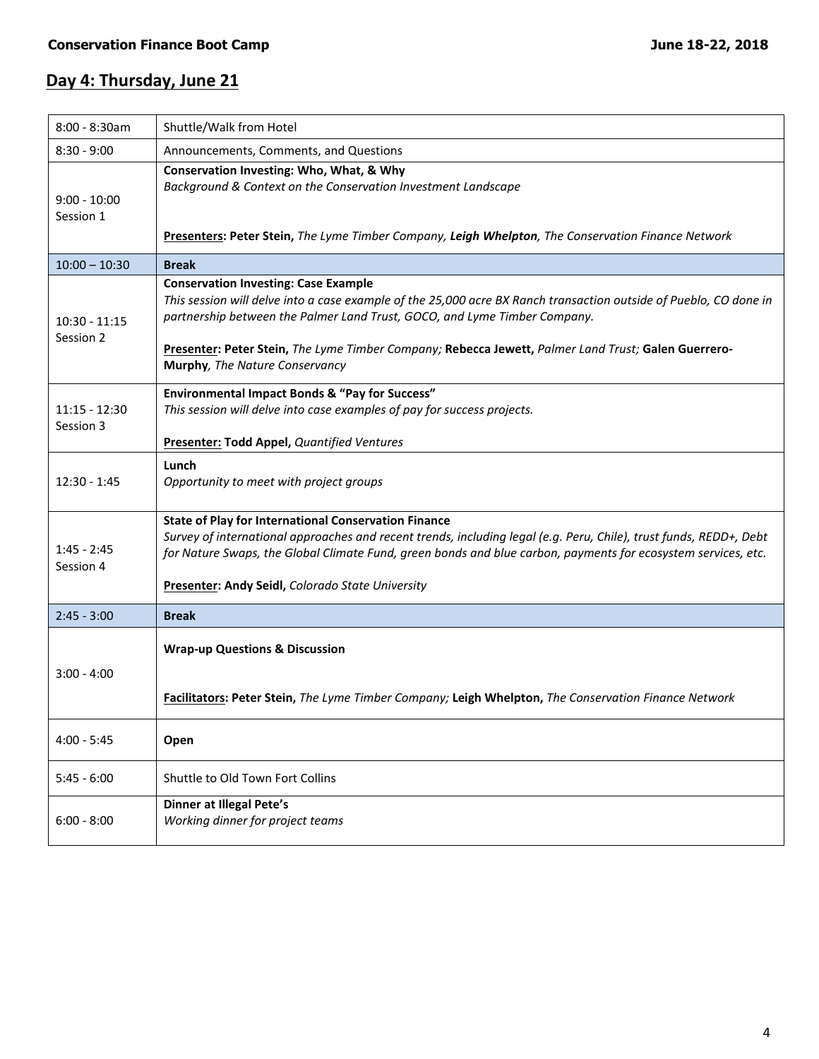### **Day 4: Thursday, June 21**

| $8:00 - 8:30am$              | Shuttle/Walk from Hotel                                                                                                                                                                                                                                                                                                                                                                |  |  |
|------------------------------|----------------------------------------------------------------------------------------------------------------------------------------------------------------------------------------------------------------------------------------------------------------------------------------------------------------------------------------------------------------------------------------|--|--|
| $8:30 - 9:00$                | Announcements, Comments, and Questions                                                                                                                                                                                                                                                                                                                                                 |  |  |
| $9:00 - 10:00$<br>Session 1  | Conservation Investing: Who, What, & Why<br>Background & Context on the Conservation Investment Landscape<br>Presenters: Peter Stein, The Lyme Timber Company, Leigh Whelpton, The Conservation Finance Network                                                                                                                                                                        |  |  |
| $10:00 - 10:30$              | <b>Break</b>                                                                                                                                                                                                                                                                                                                                                                           |  |  |
| $10:30 - 11:15$<br>Session 2 | <b>Conservation Investing: Case Example</b><br>This session will delve into a case example of the 25,000 acre BX Ranch transaction outside of Pueblo, CO done in<br>partnership between the Palmer Land Trust, GOCO, and Lyme Timber Company.<br>Presenter: Peter Stein, The Lyme Timber Company; Rebecca Jewett, Palmer Land Trust; Galen Guerrero-<br>Murphy, The Nature Conservancy |  |  |
| $11:15 - 12:30$<br>Session 3 | Environmental Impact Bonds & "Pay for Success"<br>This session will delve into case examples of pay for success projects.<br><b>Presenter: Todd Appel, Quantified Ventures</b>                                                                                                                                                                                                         |  |  |
| 12:30 - 1:45                 | Lunch<br>Opportunity to meet with project groups                                                                                                                                                                                                                                                                                                                                       |  |  |
| $1:45 - 2:45$<br>Session 4   | <b>State of Play for International Conservation Finance</b><br>Survey of international approaches and recent trends, including legal (e.g. Peru, Chile), trust funds, REDD+, Debt<br>for Nature Swaps, the Global Climate Fund, green bonds and blue carbon, payments for ecosystem services, etc.<br><b>Presenter: Andy Seidl, Colorado State University</b>                          |  |  |
| $2:45 - 3:00$                | <b>Break</b>                                                                                                                                                                                                                                                                                                                                                                           |  |  |
| $3:00 - 4:00$                | <b>Wrap-up Questions &amp; Discussion</b><br>Facilitators: Peter Stein, The Lyme Timber Company; Leigh Whelpton, The Conservation Finance Network                                                                                                                                                                                                                                      |  |  |
| $4:00 - 5:45$                | Open                                                                                                                                                                                                                                                                                                                                                                                   |  |  |
| $5:45 - 6:00$                | Shuttle to Old Town Fort Collins                                                                                                                                                                                                                                                                                                                                                       |  |  |
| $6:00 - 8:00$                | <b>Dinner at Illegal Pete's</b><br>Working dinner for project teams                                                                                                                                                                                                                                                                                                                    |  |  |